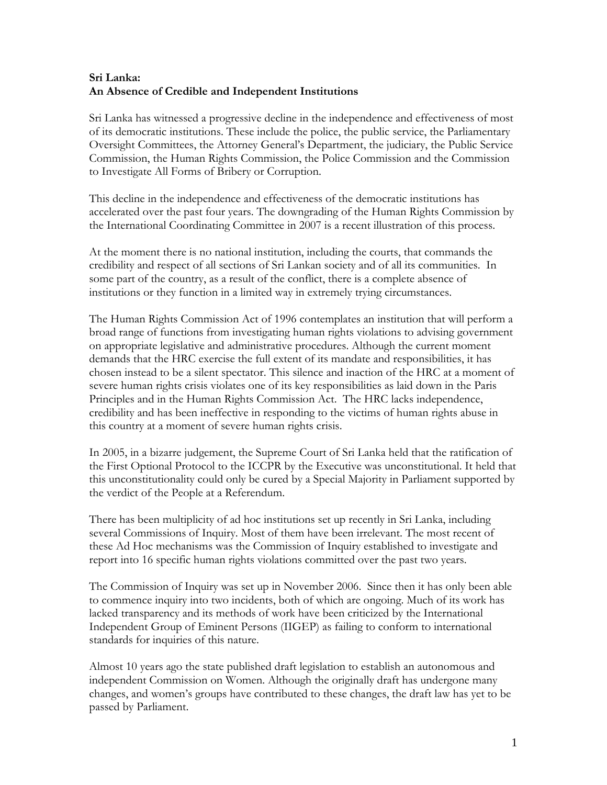## **Sri Lanka: An Absence of Credible and Independent Institutions**

Sri Lanka has witnessed a progressive decline in the independence and effectiveness of most of its democratic institutions. These include the police, the public service, the Parliamentary Oversight Committees, the Attorney General's Department, the judiciary, the Public Service Commission, the Human Rights Commission, the Police Commission and the Commission to Investigate All Forms of Bribery or Corruption.

This decline in the independence and effectiveness of the democratic institutions has accelerated over the past four years. The downgrading of the Human Rights Commission by the International Coordinating Committee in 2007 is a recent illustration of this process.

At the moment there is no national institution, including the courts, that commands the credibility and respect of all sections of Sri Lankan society and of all its communities. In some part of the country, as a result of the conflict, there is a complete absence of institutions or they function in a limited way in extremely trying circumstances.

The Human Rights Commission Act of 1996 contemplates an institution that will perform a broad range of functions from investigating human rights violations to advising government on appropriate legislative and administrative procedures. Although the current moment demands that the HRC exercise the full extent of its mandate and responsibilities, it has chosen instead to be a silent spectator. This silence and inaction of the HRC at a moment of severe human rights crisis violates one of its key responsibilities as laid down in the Paris Principles and in the Human Rights Commission Act. The HRC lacks independence, credibility and has been ineffective in responding to the victims of human rights abuse in this country at a moment of severe human rights crisis.

In 2005, in a bizarre judgement, the Supreme Court of Sri Lanka held that the ratification of the First Optional Protocol to the ICCPR by the Executive was unconstitutional. It held that this unconstitutionality could only be cured by a Special Majority in Parliament supported by the verdict of the People at a Referendum.

There has been multiplicity of ad hoc institutions set up recently in Sri Lanka, including several Commissions of Inquiry. Most of them have been irrelevant. The most recent of these Ad Hoc mechanisms was the Commission of Inquiry established to investigate and report into 16 specific human rights violations committed over the past two years.

The Commission of Inquiry was set up in November 2006. Since then it has only been able to commence inquiry into two incidents, both of which are ongoing. Much of its work has lacked transparency and its methods of work have been criticized by the International Independent Group of Eminent Persons (IIGEP) as failing to conform to international standards for inquiries of this nature.

Almost 10 years ago the state published draft legislation to establish an autonomous and independent Commission on Women. Although the originally draft has undergone many changes, and women's groups have contributed to these changes, the draft law has yet to be passed by Parliament.